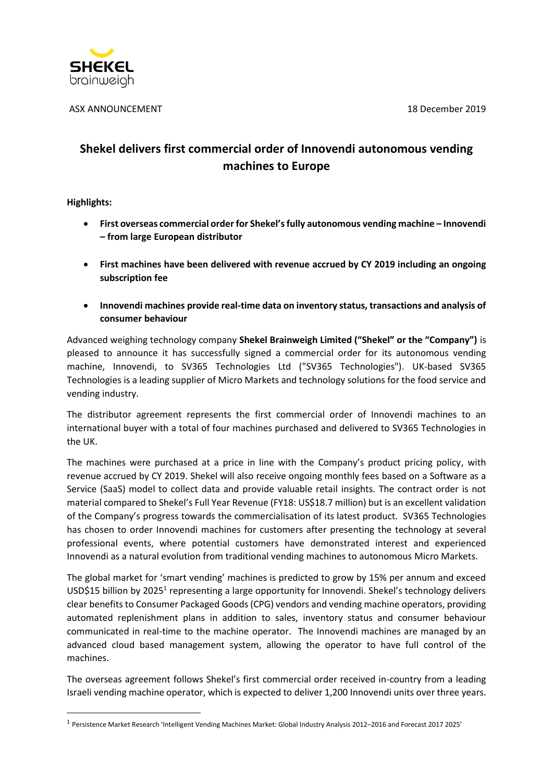

ASX ANNOUNCEMENT 18 December 2019

# **Shekel delivers first commercial order of Innovendi autonomous vending machines to Europe**

**Highlights:** 

**.** 

- **First overseas commercial order for Shekel's fully autonomous vending machine – Innovendi – from large European distributor**
- **First machines have been delivered with revenue accrued by CY 2019 including an ongoing subscription fee**
- **Innovendi machines provide real-time data on inventory status, transactions and analysis of consumer behaviour**

Advanced weighing technology company **Shekel Brainweigh Limited ("Shekel" or the "Company")** is pleased to announce it has successfully signed a commercial order for its autonomous vending machine, Innovendi, to SV365 Technologies Ltd ("SV365 Technologies"). UK-based SV365 Technologies is a leading supplier of Micro Markets and technology solutions for the food service and vending industry.

The distributor agreement represents the first commercial order of Innovendi machines to an international buyer with a total of four machines purchased and delivered to SV365 Technologies in the UK.

The machines were purchased at a price in line with the Company's product pricing policy, with revenue accrued by CY 2019. Shekel will also receive ongoing monthly fees based on a Software as a Service (SaaS) model to collect data and provide valuable retail insights. The contract order is not material compared to Shekel's Full Year Revenue (FY18: US\$18.7 million) but is an excellent validation of the Company's progress towards the commercialisation of its latest product. SV365 Technologies has chosen to order Innovendi machines for customers after presenting the technology at several professional events, where potential customers have demonstrated interest and experienced Innovendi as a natural evolution from traditional vending machines to autonomous Micro Markets.

The global market for 'smart vending' machines is predicted to grow by 15% per annum and exceed USD\$15 billion by 2025<sup>1</sup> representing a large opportunity for Innovendi. Shekel's technology delivers clear benefits to Consumer Packaged Goods (CPG) vendors and vending machine operators, providing automated replenishment plans in addition to sales, inventory status and consumer behaviour communicated in real-time to the machine operator. The Innovendi machines are managed by an advanced cloud based management system, allowing the operator to have full control of the machines.

The overseas agreement follows Shekel's first commercial order received in-country from a leading Israeli vending machine operator, which is expected to deliver 1,200 Innovendi units over three years.

<sup>1</sup> Persistence Market Research 'Intelligent Vending Machines Market: Global Industry Analysis 2012–2016 and Forecast 2017 2025'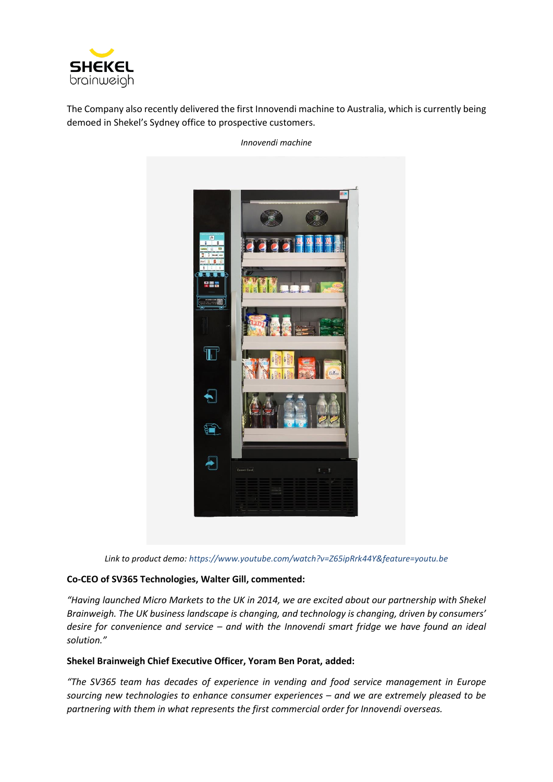

The Company also recently delivered the first Innovendi machine to Australia, which is currently being demoed in Shekel's Sydney office to prospective customers.

*Innovendi machine* 



*Link to product demo[: https://www.youtube.com/watch?v=Z65ipRrk44Y&feature=youtu.be](https://www.youtube.com/watch?v=Z65ipRrk44Y&feature=youtu.be)*

# **Co-CEO of SV365 Technologies, Walter Gill, commented:**

*"Having launched Micro Markets to the UK in 2014, we are excited about our partnership with Shekel Brainweigh. The UK business landscape is changing, and technology is changing, driven by consumers' desire for convenience and service – and with the Innovendi smart fridge we have found an ideal solution."*

## **Shekel Brainweigh Chief Executive Officer, Yoram Ben Porat, added:**

*"The SV365 team has decades of experience in vending and food service management in Europe sourcing new technologies to enhance consumer experiences – and we are extremely pleased to be partnering with them in what represents the first commercial order for Innovendi overseas.*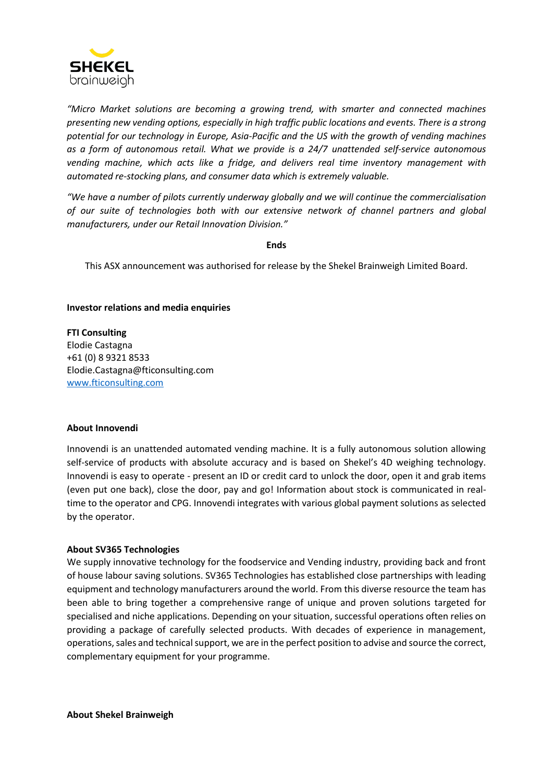

*"Micro Market solutions are becoming a growing trend, with smarter and connected machines presenting new vending options, especially in high traffic public locations and events. There is a strong potential for our technology in Europe, Asia-Pacific and the US with the growth of vending machines as a form of autonomous retail. What we provide is a 24/7 unattended self-service autonomous vending machine, which acts like a fridge, and delivers real time inventory management with automated re-stocking plans, and consumer data which is extremely valuable.*

*"We have a number of pilots currently underway globally and we will continue the commercialisation of our suite of technologies both with our extensive network of channel partners and global manufacturers, under our Retail Innovation Division."*

## **Ends**

This ASX announcement was authorised for release by the Shekel Brainweigh Limited Board.

# **Investor relations and media enquiries**

**FTI Consulting** Elodie Castagna +61 (0) 8 9321 8533 Elodie.Castagna@fticonsulting.com [www.fticonsulting.com](http://www.fticonsulting.com/)

## **About Innovendi**

Innovendi is an unattended automated vending machine. It is a fully autonomous solution allowing self-service of products with absolute accuracy and is based on Shekel's 4D weighing technology. Innovendi is easy to operate - present an ID or credit card to unlock the door, open it and grab items (even put one back), close the door, pay and go! Information about stock is communicated in realtime to the operator and CPG. Innovendi integrates with various global payment solutions as selected by the operator.

## **About SV365 Technologies**

We supply innovative technology for the foodservice and Vending industry, providing back and front of house labour saving solutions. SV365 Technologies has established close partnerships with leading equipment and technology manufacturers around the world. From this diverse resource the team has been able to bring together a comprehensive range of unique and proven solutions targeted for specialised and niche applications. Depending on your situation, successful operations often relies on providing a package of carefully selected products. With decades of experience in management, operations, sales and technical support, we are in the perfect position to advise and source the correct, complementary equipment for your programme.